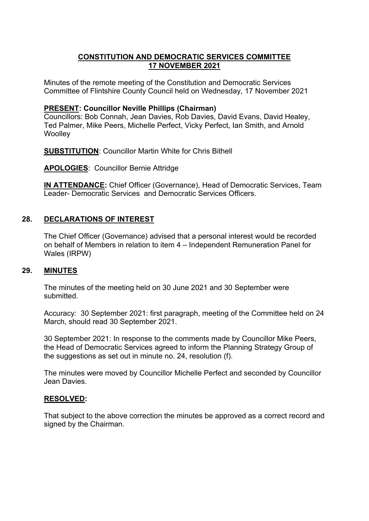## **CONSTITUTION AND DEMOCRATIC SERVICES COMMITTEE 17 NOVEMBER 2021**

Minutes of the remote meeting of the Constitution and Democratic Services Committee of Flintshire County Council held on Wednesday, 17 November 2021

#### **PRESENT: Councillor Neville Phillips (Chairman)**

Councillors: Bob Connah, Jean Davies, Rob Davies, David Evans, David Healey, Ted Palmer, Mike Peers, Michelle Perfect, Vicky Perfect, Ian Smith, and Arnold **Woolley** 

**SUBSTITUTION**: Councillor Martin White for Chris Bithell

**APOLOGIES**: Councillor Bernie Attridge

**IN ATTENDANCE:** Chief Officer (Governance), Head of Democratic Services, Team Leader- Democratic Services and Democratic Services Officers.

## **28. DECLARATIONS OF INTEREST**

The Chief Officer (Governance) advised that a personal interest would be recorded on behalf of Members in relation to item 4 – Independent Remuneration Panel for Wales (IRPW)

### **29. MINUTES**

The minutes of the meeting held on 30 June 2021 and 30 September were submitted.

Accuracy: 30 September 2021: first paragraph, meeting of the Committee held on 24 March, should read 30 September 2021.

30 September 2021: In response to the comments made by Councillor Mike Peers, the Head of Democratic Services agreed to inform the Planning Strategy Group of the suggestions as set out in minute no. 24, resolution (f).

The minutes were moved by Councillor Michelle Perfect and seconded by Councillor Jean Davies.

### **RESOLVED:**

That subject to the above correction the minutes be approved as a correct record and signed by the Chairman.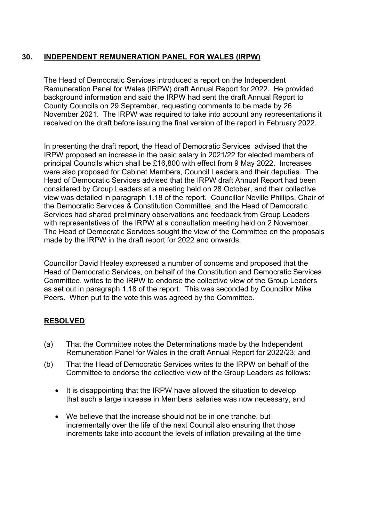# **30. INDEPENDENT REMUNERATION PANEL FOR WALES (IRPW)**

The Head of Democratic Services introduced a report on the Independent Remuneration Panel for Wales (IRPW) draft Annual Report for 2022. He provided background information and said the IRPW had sent the draft Annual Report to County Councils on 29 September, requesting comments to be made by 26 November 2021. The IRPW was required to take into account any representations it received on the draft before issuing the final version of the report in February 2022.

In presenting the draft report, the Head of Democratic Services advised that the IRPW proposed an increase in the basic salary in 2021/22 for elected members of principal Councils which shall be £16,800 with effect from 9 May 2022. Increases were also proposed for Cabinet Members, Council Leaders and their deputies. The Head of Democratic Services advised that the IRPW draft Annual Report had been considered by Group Leaders at a meeting held on 28 October, and their collective view was detailed in paragraph 1.18 of the report. Councillor Neville Phillips, Chair of the Democratic Services & Constitution Committee, and the Head of Democratic Services had shared preliminary observations and feedback from Group Leaders with representatives of the IRPW at a consultation meeting held on 2 November. The Head of Democratic Services sought the view of the Committee on the proposals made by the IRPW in the draft report for 2022 and onwards.

Councillor David Healey expressed a number of concerns and proposed that the Head of Democratic Services, on behalf of the Constitution and Democratic Services Committee, writes to the IRPW to endorse the collective view of the Group Leaders as set out in paragraph 1.18 of the report. This was seconded by Councillor Mike Peers. When put to the vote this was agreed by the Committee.

# **RESOLVED**:

- (a) That the Committee notes the Determinations made by the Independent Remuneration Panel for Wales in the draft Annual Report for 2022/23; and
- (b) That the Head of Democratic Services writes to the IRPW on behalf of the Committee to endorse the collective view of the Group Leaders as follows:
	- It is disappointing that the IRPW have allowed the situation to develop that such a large increase in Members' salaries was now necessary; and
	- We believe that the increase should not be in one tranche, but incrementally over the life of the next Council also ensuring that those increments take into account the levels of inflation prevailing at the time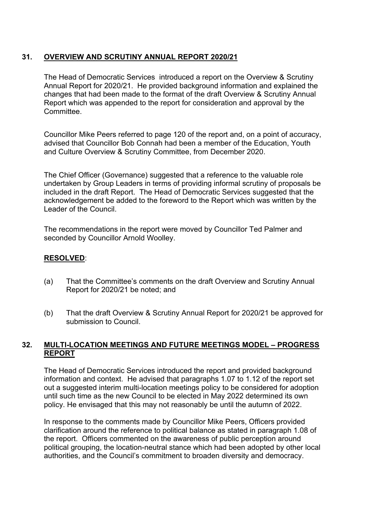# **31. OVERVIEW AND SCRUTINY ANNUAL REPORT 2020/21**

The Head of Democratic Services introduced a report on the Overview & Scrutiny Annual Report for 2020/21. He provided background information and explained the changes that had been made to the format of the draft Overview & Scrutiny Annual Report which was appended to the report for consideration and approval by the Committee.

Councillor Mike Peers referred to page 120 of the report and, on a point of accuracy, advised that Councillor Bob Connah had been a member of the Education, Youth and Culture Overview & Scrutiny Committee, from December 2020.

The Chief Officer (Governance) suggested that a reference to the valuable role undertaken by Group Leaders in terms of providing informal scrutiny of proposals be included in the draft Report. The Head of Democratic Services suggested that the acknowledgement be added to the foreword to the Report which was written by the Leader of the Council.

The recommendations in the report were moved by Councillor Ted Palmer and seconded by Councillor Arnold Woolley.

#### **RESOLVED**:

- (a) That the Committee's comments on the draft Overview and Scrutiny Annual Report for 2020/21 be noted; and
- (b) That the draft Overview & Scrutiny Annual Report for 2020/21 be approved for submission to Council.

## **32. MULTI-LOCATION MEETINGS AND FUTURE MEETINGS MODEL – PROGRESS REPORT**

The Head of Democratic Services introduced the report and provided background information and context. He advised that paragraphs 1.07 to 1.12 of the report set out a suggested interim multi-location meetings policy to be considered for adoption until such time as the new Council to be elected in May 2022 determined its own policy. He envisaged that this may not reasonably be until the autumn of 2022.

In response to the comments made by Councillor Mike Peers, Officers provided clarification around the reference to political balance as stated in paragraph 1.08 of the report. Officers commented on the awareness of public perception around political grouping, the location-neutral stance which had been adopted by other local authorities, and the Council's commitment to broaden diversity and democracy.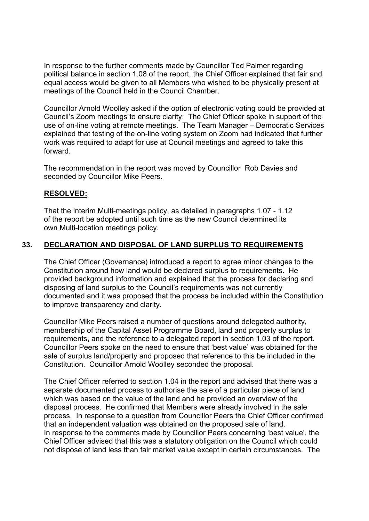In response to the further comments made by Councillor Ted Palmer regarding political balance in section 1.08 of the report, the Chief Officer explained that fair and equal access would be given to all Members who wished to be physically present at meetings of the Council held in the Council Chamber.

Councillor Arnold Woolley asked if the option of electronic voting could be provided at Council's Zoom meetings to ensure clarity. The Chief Officer spoke in support of the use of on-line voting at remote meetings. The Team Manager – Democratic Services explained that testing of the on-line voting system on Zoom had indicated that further work was required to adapt for use at Council meetings and agreed to take this forward.

The recommendation in the report was moved by Councillor Rob Davies and seconded by Councillor Mike Peers.

### **RESOLVED:**

That the interim Multi-meetings policy, as detailed in paragraphs 1.07 - 1.12 of the report be adopted until such time as the new Council determined its own Multi-location meetings policy.

# **33. DECLARATION AND DISPOSAL OF LAND SURPLUS TO REQUIREMENTS**

The Chief Officer (Governance) introduced a report to agree minor changes to the Constitution around how land would be declared surplus to requirements. He provided background information and explained that the process for declaring and disposing of land surplus to the Council's requirements was not currently documented and it was proposed that the process be included within the Constitution to improve transparency and clarity.

Councillor Mike Peers raised a number of questions around delegated authority, membership of the Capital Asset Programme Board, land and property surplus to requirements, and the reference to a delegated report in section 1.03 of the report. Councillor Peers spoke on the need to ensure that 'best value' was obtained for the sale of surplus land/property and proposed that reference to this be included in the Constitution. Councillor Arnold Woolley seconded the proposal.

The Chief Officer referred to section 1.04 in the report and advised that there was a separate documented process to authorise the sale of a particular piece of land which was based on the value of the land and he provided an overview of the disposal process. He confirmed that Members were already involved in the sale process. In response to a question from Councillor Peers the Chief Officer confirmed that an independent valuation was obtained on the proposed sale of land. In response to the comments made by Councillor Peers concerning 'best value', the Chief Officer advised that this was a statutory obligation on the Council which could not dispose of land less than fair market value except in certain circumstances. The